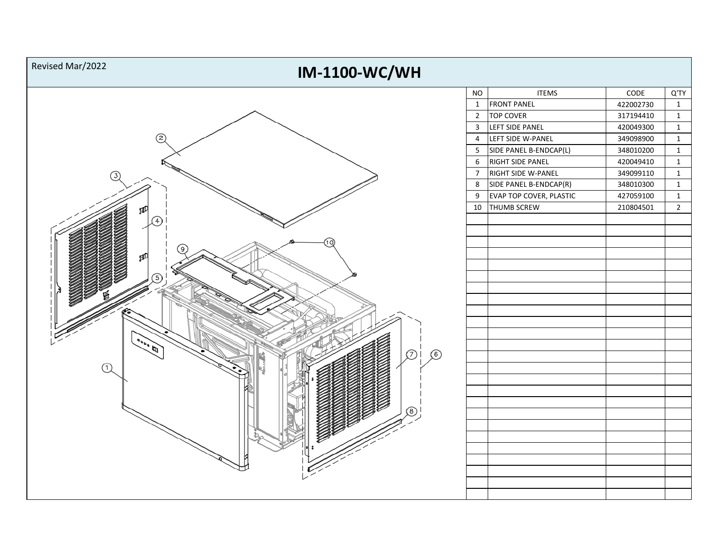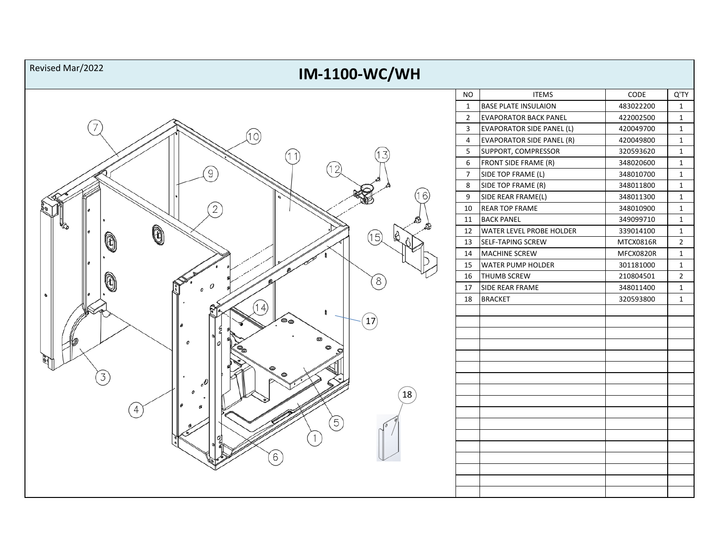| Revised Mar/2022<br><b>IM-1100-WC/WH</b> |                |                              |           |                |
|------------------------------------------|----------------|------------------------------|-----------|----------------|
|                                          | <b>NO</b>      | <b>ITEMS</b>                 | CODE      | Q'TY           |
|                                          | $\mathbf{1}$   | <b>BASE PLATE INSULAION</b>  | 483022200 | $\mathbf{1}$   |
|                                          | $\overline{2}$ | <b>EVAPORATOR BACK PANEL</b> | 422002500 | $\mathbf{1}$   |
|                                          | $\mathbf{3}$   | EVAPORATOR SIDE PANEL (L)    | 420049700 | $\mathbf{1}$   |
| (10)                                     | $\overline{4}$ | EVAPORATOR SIDE PANEL (R)    | 420049800 | $\mathbf{1}$   |
|                                          | 5              | SUPPORT, COMPRESSOR          | 320593620 | $\mathbf{1}$   |
| 12                                       | 6              | <b>FRONT SIDE FRAME (R)</b>  | 348020600 | $\mathbf{1}$   |
| $\left[9\right]$                         | $\overline{7}$ | SIDE TOP FRAME (L)           | 348010700 | $\mathbf{1}$   |
|                                          | 8              | SIDE TOP FRAME (R)           | 348011800 | $\mathbf{1}$   |
| 6                                        | 9              | SIDE REAR FRAME(L)           | 348011300 | $\mathbf{1}$   |
|                                          | 10             | <b>REAR TOP FRAME</b>        | 348010900 | $\mathbf{1}$   |
|                                          | 11             | <b>BACK PANEL</b>            | 349099710 | $\mathbf{1}$   |
| Ò<br>(15)                                | 12             | WATER LEVEL PROBE HOLDER     | 339014100 | $\mathbf{1}$   |
| 0                                        | 13             | SELF-TAPING SCREW            | MTCX0816R | $\overline{2}$ |
|                                          | 14             | <b>MACHINE SCREW</b>         | MFCX0820R | $\mathbf{1}$   |
|                                          | 15             | <b>WATER PUMP HOLDER</b>     | 301181000 | $\mathbf{1}$   |
| 8                                        | 16             | <b>THUMB SCREW</b>           | 210804501 | $\overline{2}$ |
|                                          | 17             | SIDE REAR FRAME              | 348011400 | $\mathbf{1}$   |
| Ō.                                       | 18             | <b>BRACKET</b>               | 320593800 | $\mathbf{1}$   |
| (14)                                     |                |                              |           |                |
| $\left(17\right)$<br>౷ౚ                  |                |                              |           |                |
|                                          |                |                              |           |                |
| 0                                        |                |                              |           |                |
|                                          |                |                              |           |                |
|                                          |                |                              |           |                |
| 3                                        |                |                              |           |                |
| $\left[18\right]$                        |                |                              |           |                |
|                                          |                |                              |           |                |
| 4                                        |                |                              |           |                |
| $\begin{bmatrix} 5 \end{bmatrix}$        |                |                              |           |                |
|                                          |                |                              |           |                |
|                                          |                |                              |           |                |
| 6                                        |                |                              |           |                |
|                                          |                |                              |           |                |
|                                          |                |                              |           |                |
|                                          |                |                              |           |                |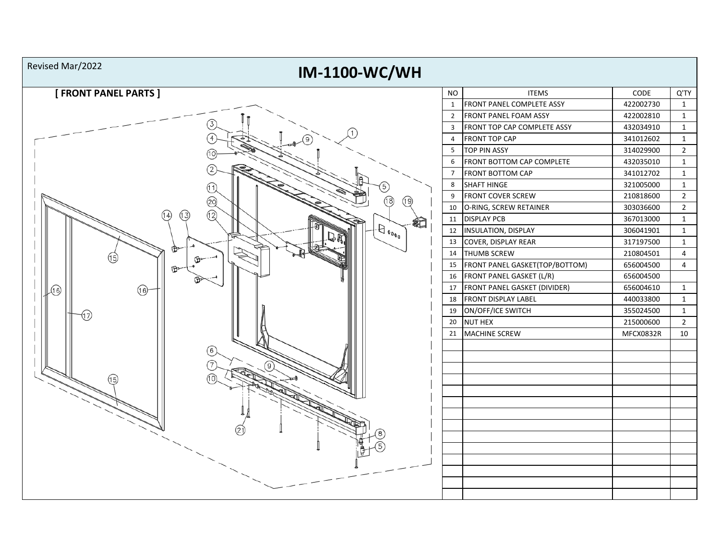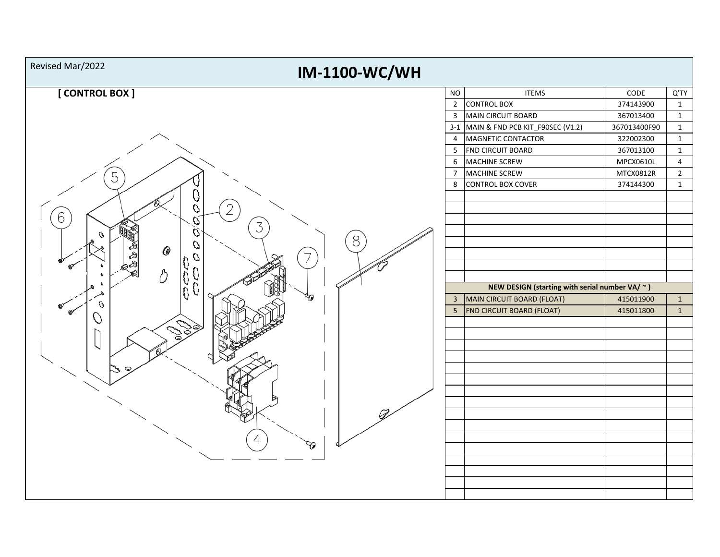| Revised Mar/2022<br><b>IM-1100-WC/WH</b>  |                 |                                                                                        |              |                |
|-------------------------------------------|-----------------|----------------------------------------------------------------------------------------|--------------|----------------|
| [CONTROL BOX ]                            | <b>NO</b>       | <b>ITEMS</b>                                                                           | CODE         | Q'TY           |
|                                           |                 | 2 CONTROL BOX                                                                          | 374143900    | $\mathbf{1}$   |
|                                           |                 | 3 MAIN CIRCUIT BOARD                                                                   | 367013400    | $\mathbf{1}$   |
|                                           |                 | 3-1 MAIN & FND PCB KIT_F90SEC (V1.2)                                                   | 367013400F90 | $\mathbf{1}$   |
|                                           | $\overline{4}$  | MAGNETIC CONTACTOR                                                                     | 322002300    | $\mathbf{1}$   |
|                                           | 5 <sub>1</sub>  | <b>FND CIRCUIT BOARD</b>                                                               | 367013100    | $\mathbf{1}$   |
|                                           | $6\overline{6}$ | <b>MACHINE SCREW</b>                                                                   | MPCX0610L    | $\overline{4}$ |
| 5                                         | 7 <sup>7</sup>  | MACHINE SCREW                                                                          | MTCX0812R    | $\overline{2}$ |
| 2<br>Q<br>6<br>D<br>3<br>Q<br>Ø<br>8<br>0 | 8               | CONTROL BOX COVER                                                                      | 374144300    | $\mathbf{1}$   |
| Y)                                        |                 | NEW DESIGN (starting with serial number VA/ $\sim$ )<br>3   MAIN CIRCUIT BOARD (FLOAT) | 415011900    | $\mathbf{1}$   |
| కథ                                        |                 | 5   FND CIRCUIT BOARD (FLOAT)                                                          | 415011800    | $\mathbf{1}$   |
|                                           |                 |                                                                                        |              |                |
|                                           |                 |                                                                                        |              |                |
|                                           |                 |                                                                                        |              |                |
|                                           |                 |                                                                                        |              |                |
|                                           |                 |                                                                                        |              |                |
|                                           |                 |                                                                                        |              |                |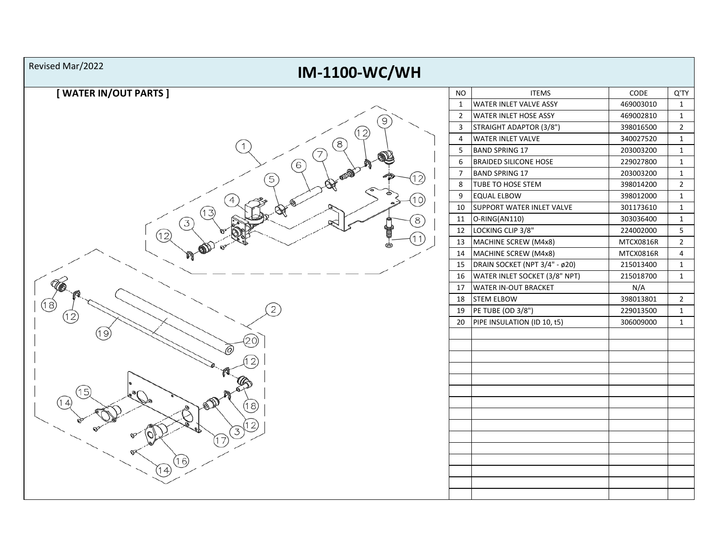| Revised Mar/2022<br><b>IM-1100-WC/WH</b> |                |                               |           |                 |
|------------------------------------------|----------------|-------------------------------|-----------|-----------------|
| [WATER IN/OUT PARTS]                     | <b>NO</b>      | <b>ITEMS</b>                  | CODE      | Q'TY            |
|                                          | $\mathbf{1}$   | <b>WATER INLET VALVE ASSY</b> | 469003010 | $\mathbf{1}$    |
| ΄9                                       | $\overline{2}$ | <b>WATER INLET HOSE ASSY</b>  | 469002810 | $\mathbf{1}$    |
|                                          | 3              | STRAIGHT ADAPTOR (3/8")       | 398016500 | $\overline{2}$  |
| [12]<br>໌8ີ                              | $\overline{4}$ | <b>WATER INLET VALVE</b>      | 340027520 | $\mathbf{1}$    |
| 7                                        | 5              | <b>BAND SPRING 17</b>         | 203003200 | $\mathbf{1}$    |
| 6                                        | 6              | <b>BRAIDED SILICONE HOSE</b>  | 229027800 | $\mathbf{1}$    |
| 12)                                      | $\overline{7}$ | <b>BAND SPRING 17</b>         | 203003200 | $\mathbf{1}$    |
| 5                                        | 8              | TUBE TO HOSE STEM             | 398014200 | $\overline{2}$  |
| l O.                                     | 9              | <b>EQUAL ELBOW</b>            | 398012000 | $\mathbf{1}$    |
|                                          | 10             | SUPPORT WATER INLET VALVE     | 301173610 | $\mathbf{1}$    |
| 8<br>$\left(3\right)$                    | 11             | O-RING(AN110)                 | 303036400 | $\mathbf{1}$    |
| (12)                                     | 12             | LOCKING CLIP 3/8"             | 224002000 | $5\phantom{.0}$ |
|                                          | 13             | MACHINE SCREW (M4x8)          | MTCX0816R | $\overline{2}$  |
|                                          | 14             | MACHINE SCREW (M4x8)          | MTCX0816R | $\overline{4}$  |
|                                          | 15             | DRAIN SOCKET (NPT 3/4" - ø20) | 215013400 | $\mathbf{1}$    |
|                                          | 16             | WATER INLET SOCKET (3/8" NPT) | 215018700 | $\mathbf{1}$    |
|                                          | 17             | <b>WATER IN-OUT BRACKET</b>   | N/A       |                 |
| (18)                                     | 18             | <b>STEM ELBOW</b>             | 398013801 | $\overline{2}$  |
| (12)                                     | 19             | PE TUBE (OD 3/8")             | 229013500 | $\mathbf{1}$    |
|                                          | 20             | PIPE INSULATION (ID 10, t5)   | 306009000 | $\mathbf{1}$    |
| 19                                       |                |                               |           |                 |
|                                          |                |                               |           |                 |
|                                          |                |                               |           |                 |
| 15                                       |                |                               |           |                 |
| (18)                                     |                |                               |           |                 |
|                                          |                |                               |           |                 |
|                                          |                |                               |           |                 |
|                                          |                |                               |           |                 |
|                                          |                |                               |           |                 |
| 6,                                       |                |                               |           |                 |
| $\overline{4}$                           |                |                               |           |                 |
|                                          |                |                               |           |                 |
|                                          |                |                               |           |                 |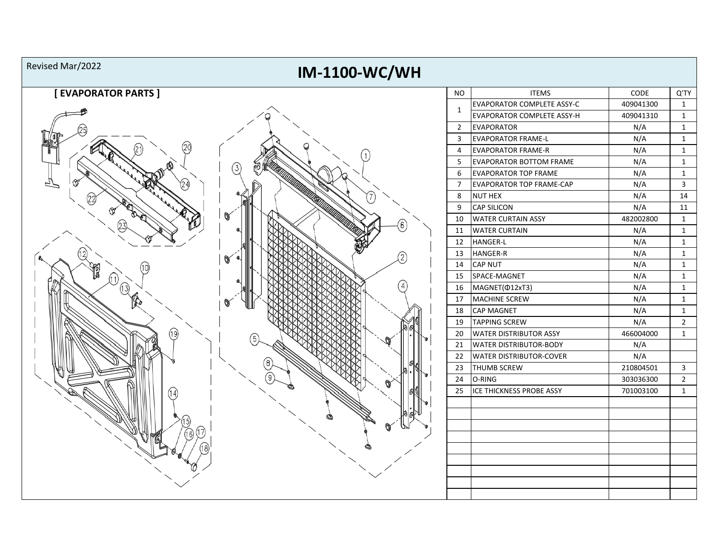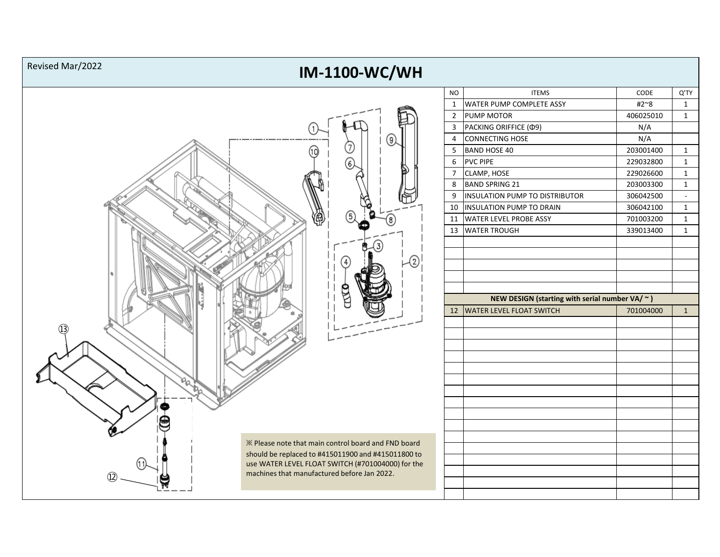Revised Mar/2022

## **IM-1100-WC/WH**



| <b>NO</b>      | <b>ITEMS</b>                                         | CODE      | Q'TY         |
|----------------|------------------------------------------------------|-----------|--------------|
| $\mathbf{1}$   | WATER PUMP COMPLETE ASSY                             | #2~8      | 1            |
| $\overline{2}$ | <b>PUMP MOTOR</b>                                    | 406025010 | 1            |
| 3              | PACKING ORIFFICE (Ф9)                                | N/A       |              |
| 4              | CONNECTING HOSE                                      | N/A       |              |
| 5              | <b>BAND HOSE 40</b>                                  | 203001400 | 1            |
| 6              | <b>PVC PIPE</b>                                      | 229032800 | 1            |
| $\overline{7}$ | CLAMP, HOSE                                          | 229026600 | 1            |
| 8              | <b>BAND SPRING 21</b>                                | 203003300 | 1            |
| 9              | INSULATION PUMP TO DISTRIBUTOR                       | 306042500 |              |
| 10             | <b>INSULATION PUMP TO DRAIN</b>                      | 306042100 | 1            |
| 11             | <b>WATER LEVEL PROBE ASSY</b>                        | 701003200 | 1            |
| 13             | <b>WATER TROUGH</b>                                  | 339013400 | 1            |
|                |                                                      |           |              |
|                |                                                      |           |              |
|                |                                                      |           |              |
|                |                                                      |           |              |
|                |                                                      |           |              |
|                |                                                      |           |              |
|                | NEW DESIGN (starting with serial number VA/ $\sim$ ) |           |              |
| 12             | <b>WATER LEVEL FLOAT SWITCH</b>                      | 701004000 | $\mathbf{1}$ |
|                |                                                      |           |              |
|                |                                                      |           |              |
|                |                                                      |           |              |
|                |                                                      |           |              |
|                |                                                      |           |              |
|                |                                                      |           |              |
|                |                                                      |           |              |
|                |                                                      |           |              |
|                |                                                      |           |              |
|                |                                                      |           |              |
|                |                                                      |           |              |
|                |                                                      |           |              |
|                |                                                      |           |              |
|                |                                                      |           |              |
|                |                                                      |           |              |
|                |                                                      |           |              |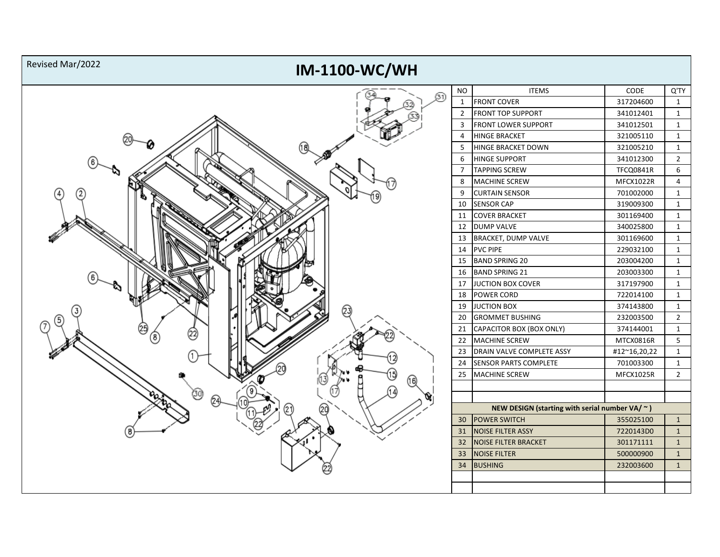